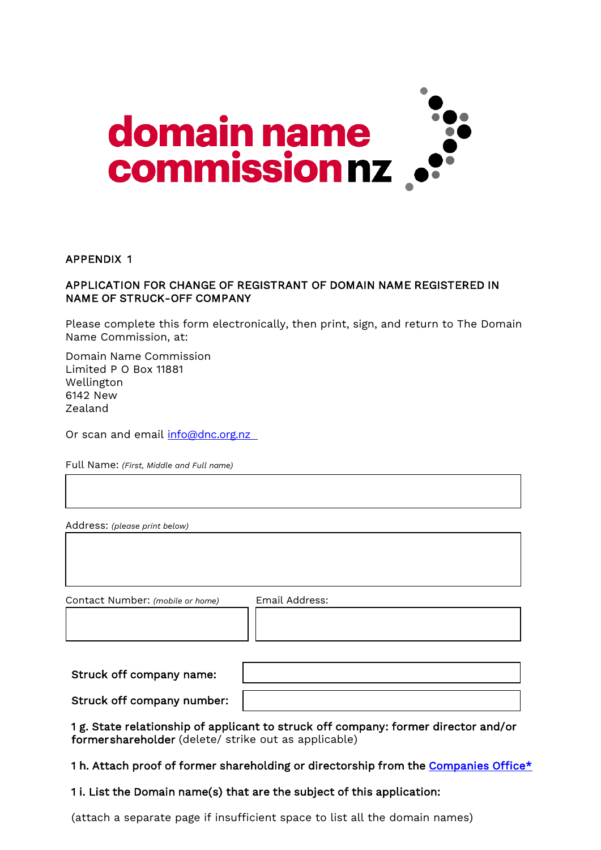

## APPENDIX 1

## APPLICATION FOR CHANGE OF REGISTRANT OF DOMAIN NAME REGISTERED IN NAME OF STRUCK-OFF COMPANY

Please complete this form electronically, then print, sign, and return to The Domain Name Commission, at:

Domain Name Commission Limited P O Box 11881 Wellington 6142 New Zealand

Or scan and email [info@dnc.org.nz](mailto:info@dnc.org.nz)

Full Name: *(First, Middle and Full name)*

Address: *(please print below)*

Contact Number: *(mobile or home)* Email Address:

| Struck off company name:   |  |
|----------------------------|--|
| Struck off company number: |  |

1 g. State relationship of applicant to struck off company: former director and/or former shareholder (delete/ strike out as applicable)

1 h. Attach proof of former shareholding or directorship from the [Companies Office\\*](https://www.business.govt.nz/companies/)

## 1 i. List the Domain name(s) that are the subject of this application:

(attach a separate page if insufficient space to list all the domain names)